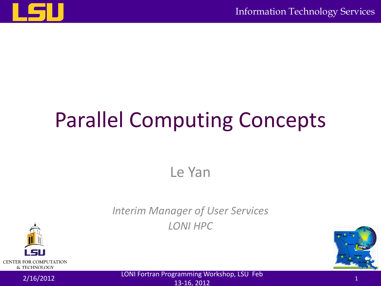

# Parallel Computing Concepts

Le Yan

#### *Interim Manager of User Services LONI HPC*



2/16/2012 LONI Fortran Programming Workshop, LSU Feb 13-16, 2012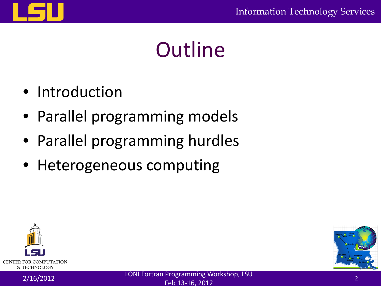

### **Outline**

- Introduction
- Parallel programming models
- Parallel programming hurdles
- Heterogeneous computing



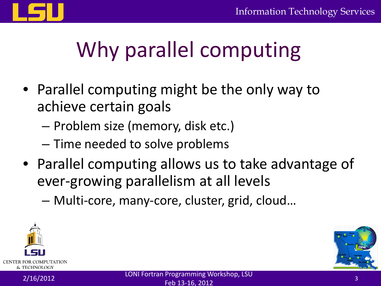

# Why parallel computing

- Parallel computing might be the only way to achieve certain goals
	- Problem size (memory, disk etc.)
	- Time needed to solve problems
- Parallel computing allows us to take advantage of ever-growing parallelism at all levels
	- Multi-core, many-core, cluster, grid, cloud…



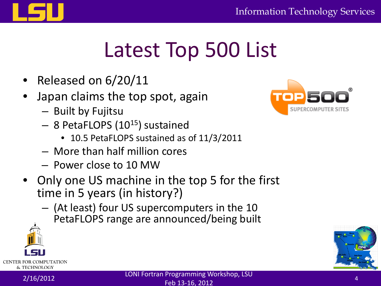

### Latest Top 500 List

- Released on 6/20/11
- Japan claims the top spot, again
	- Built by Fujitsu
	- 8 PetaFLOPS (1015) sustained
		- 10.5 PetaFLOPS sustained as of 11/3/2011
	- More than half million cores
	- Power close to 10 MW
- Only one US machine in the top 5 for the first time in 5 years (in history?)
	- (At least) four US supercomputers in the 10 PetaFLOPS range are announced/being built





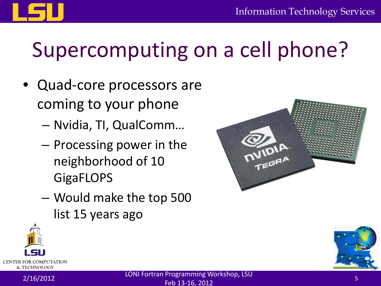

### Supercomputing on a cell phone?

- Quad-core processors are coming to your phone
	- Nvidia, TI, QualComm…
	- Processing power in the neighborhood of 10 **GigaFLOPS**
	- Would make the top 500 list 15 years ago





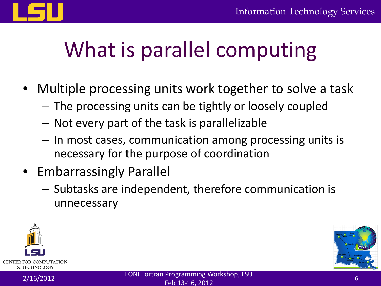

### What is parallel computing

- Multiple processing units work together to solve a task
	- The processing units can be tightly or loosely coupled
	- Not every part of the task is parallelizable
	- In most cases, communication among processing units is necessary for the purpose of coordination
- Embarrassingly Parallel
	- Subtasks are independent, therefore communication is unnecessary



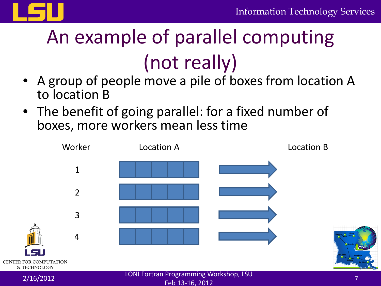

# An example of parallel computing (not really)

- A group of people move a pile of boxes from location A to location B
- The benefit of going parallel: for a fixed number of boxes, more workers mean less time

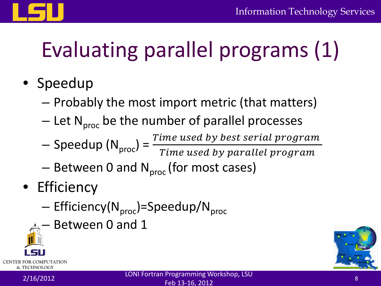

# Evaluating parallel programs (1)

- Speedup
	- Probably the most import metric (that matters)
	- $-$  Let N<sub>proc</sub> be the number of parallel processes
	- $-$  Speedup (N<sub>proc</sub>) =  $\frac{Time~used~by~best~serial~prog}{Time~used~by~parallel~sro.}$ Time used by parallel prog
	- $-$  Between 0 and N<sub>proc</sub> (for most cases)
- Efficiency
	- $-$  Efficiency( $N_{\text{proc}}$ )=Speedup/ $N_{\text{proc}}$
	- Between 0 and 1



& TECHNOLOGY

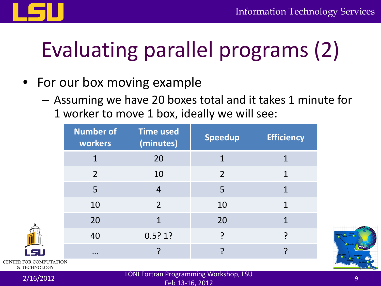

# Evaluating parallel programs (2)

- For our box moving example
	- Assuming we have 20 boxes total and it takes 1 minute for 1 worker to move 1 box, ideally we will see:

| <b>SV</b>              | <b>Number of</b><br>workers | <b>Time used</b><br>(minutes) | Speedup       | <b>Efficiency</b> |
|------------------------|-----------------------------|-------------------------------|---------------|-------------------|
|                        |                             | 20                            |               |                   |
|                        | 2                           | 10                            | $\mathcal{P}$ |                   |
|                        | 5                           | $\overline{4}$                | 5             |                   |
|                        | 10                          | $\overline{2}$                | 10            |                   |
|                        | 20                          | 1                             | 20            |                   |
|                        | 40                          | 0.5?1?                        |               |                   |
|                        | $\cdots$                    |                               |               |                   |
| CENTER FOR COMPUTATION |                             |                               |               |                   |



& TECHNOLOGY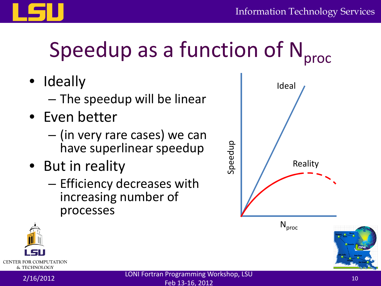

# Speedup as a function of  $N<sub>proc</sub>$

- Ideally
	- The speedup will be linear
- Even better
	- (in very rare cases) we can have superlinear speedup
- But in reality
	- Efficiency decreases with increasing number of processes



 $\mathsf{N}_{\mathsf{proc}}$ 



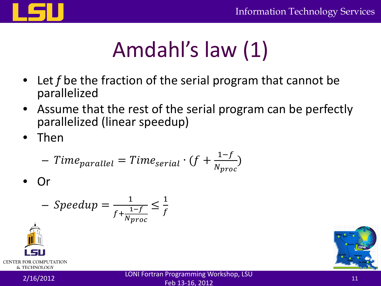

# Amdahl's law (1)

- Let *f* be the fraction of the serial program that cannot be parallelized
- Assume that the rest of the serial program can be perfectly parallelized (linear speedup)
- Then

$$
- Time_{parallel} = Time_{serial} \cdot (f + \frac{1-f}{N_{proc}})
$$

• Or

$$
- Speedup = \frac{1}{f + \frac{1 - f}{N_{proc}}} \le \frac{1}{f}
$$







11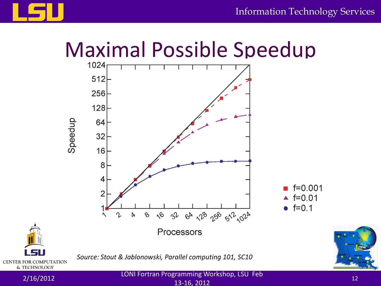



2/16/2012 LONI Fortran Programming Workshop, LSU Feb

13-16, 2012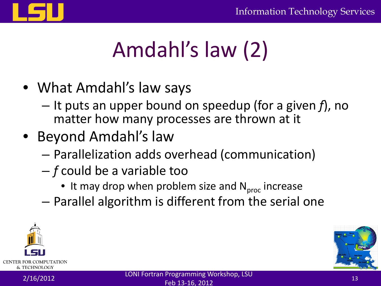

# Amdahl's law (2)

- What Amdahl's law says
	- It puts an upper bound on speedup (for a given *f*), no matter how many processes are thrown at it
- Beyond Amdahl's law
	- Parallelization adds overhead (communication)
	- *f* could be a variable too
		- It may drop when problem size and  $N_{proc}$  increase
	- Parallel algorithm is different from the serial one



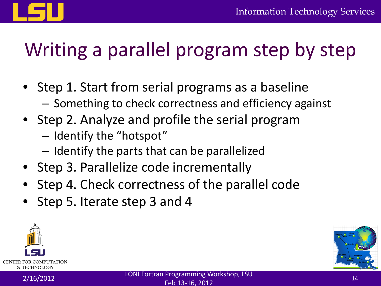

### Writing a parallel program step by step

- Step 1. Start from serial programs as a baseline – Something to check correctness and efficiency against
- Step 2. Analyze and profile the serial program
	- Identify the "hotspot"
	- Identify the parts that can be parallelized
- Step 3. Parallelize code incrementally
- Step 4. Check correctness of the parallel code
- Step 5. Iterate step 3 and 4



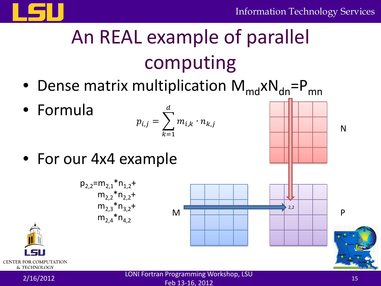

### An REAL example of parallel computing

- Dense matrix multiplication  $M_{md}xN_{dn} = P_{mn}$
- Formula

$$
p_{i,j} = \sum_{k=1}^d m_{i,k} \cdot n_{k,j}
$$

• For our 4x4 example







N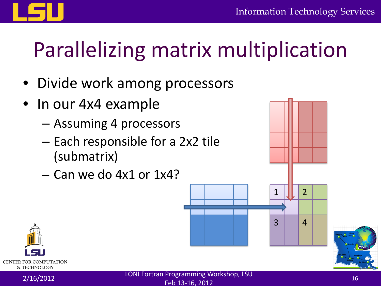

# Parallelizing matrix multiplication

- Divide work among processors
- In our 4x4 example
	- Assuming 4 processors
	- Each responsible for a 2x2 tile (submatrix)
	- Can we do 4x1 or 1x4?





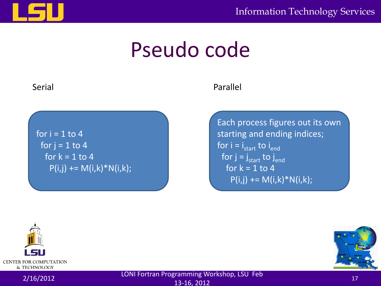

Information Technology Services

### Pseudo code

for  $i = 1$  to 4 for  $j = 1$  to 4 for  $k = 1$  to 4  $P(i,j)$  += M(i,k)\*N(i,k);

#### Serial Parallel

Each process figures out its own starting and ending indices; for  $i = i_{start}$  to  $i_{end}$ for  $j = j_{start}$  to  $j_{end}$ for  $k = 1$  to 4  $P(i,j)$  += M(i,k)\*N(i,k);





2/16/2012 LONI Fortran Programming Workshop, LSU Feb 13-16, 2012<br>13-16, 2012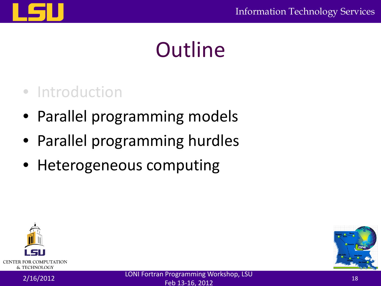

### **Outline**

### • Introduction

- Parallel programming models
- Parallel programming hurdles
- Heterogeneous computing





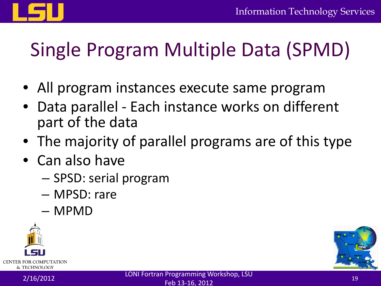

### Single Program Multiple Data (SPMD)

- All program instances execute same program
- Data parallel Each instance works on different part of the data
- The majority of parallel programs are of this type
- Can also have
	- SPSD: serial program
	- MPSD: rare
	- MPMD



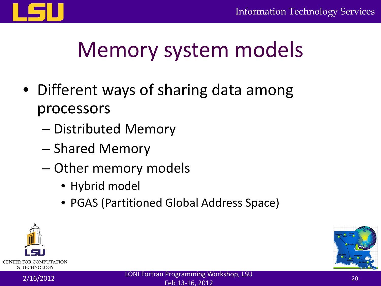

### Memory system models

- Different ways of sharing data among processors
	- Distributed Memory
	- Shared Memory
	- Other memory models
		- Hybrid model
		- PGAS (Partitioned Global Address Space)



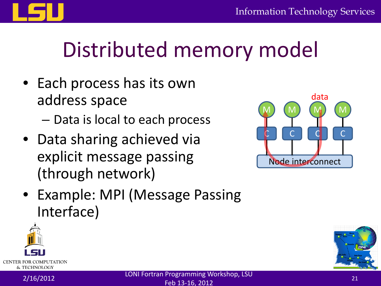

### Distributed memory model

- Each process has its own address space
	- Data is local to each process
- Data sharing achieved via explicit message passing (through network)



• Example: MPI (Message Passing Interface)



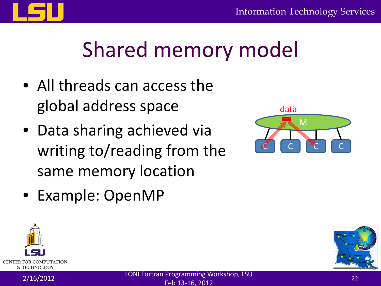

### Shared memory model

- All threads can access the global address space
- Data sharing achieved via writing to/reading from the same memory location



• Example: OpenMP



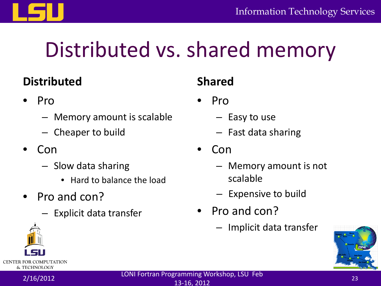

### Distributed vs. shared memory

#### **Distributed**

- Pro
	- Memory amount is scalable
	- Cheaper to build
- Con
	- Slow data sharing
		- Hard to balance the load
- Pro and con?
	- Explicit data transfer

### **Shared**

- Pro
	- Easy to use
	- Fast data sharing
- Con
	- Memory amount is not scalable
	- Expensive to build
- Pro and con?
	- Implicit data transfer





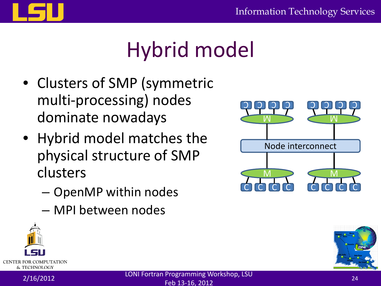

# Hybrid model

- Clusters of SMP (symmetric multi-processing) nodes dominate nowadays
- Hybrid model matches the physical structure of SMP clusters
	- OpenMP within nodes
	- MPI between nodes





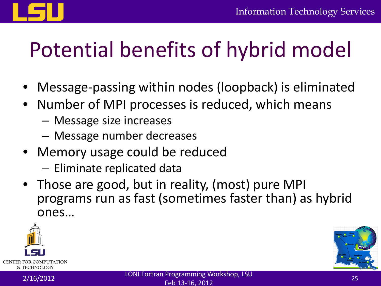



### Potential benefits of hybrid model

- Message-passing within nodes (loopback) is eliminated
- Number of MPI processes is reduced, which means
	- Message size increases
	- Message number decreases
- Memory usage could be reduced – Eliminate replicated data
- Those are good, but in reality, (most) pure MPI programs run as fast (sometimes faster than) as hybrid ones…



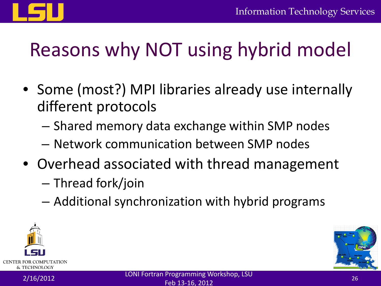

### Reasons why NOT using hybrid model

- Some (most?) MPI libraries already use internally different protocols
	- Shared memory data exchange within SMP nodes
	- Network communication between SMP nodes
- Overhead associated with thread management
	- Thread fork/join
	- Additional synchronization with hybrid programs



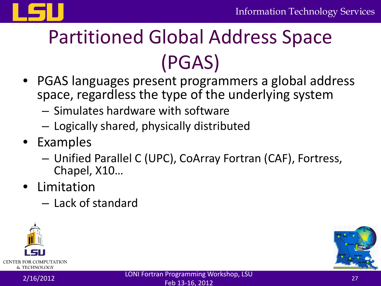

## Partitioned Global Address Space (PGAS)

- PGAS languages present programmers a global address space, regardless the type of the underlying system
	- Simulates hardware with software
	- Logically shared, physically distributed
- Examples
	- Unified Parallel C (UPC), CoArray Fortran (CAF), Fortress, Chapel, X10…
- Limitation
	- Lack of standard



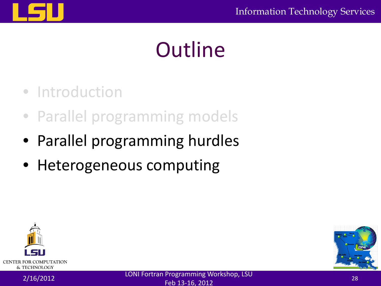### **Outline**

- Introduction
- Parallel programming models
- Parallel programming hurdles
- Heterogeneous computing



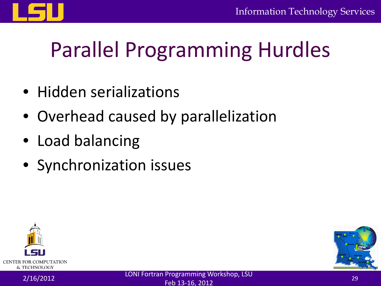

# Parallel Programming Hurdles

- Hidden serializations
- Overhead caused by parallelization
- Load balancing
- Synchronization issues



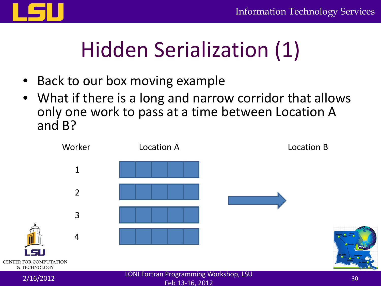

## Hidden Serialization (1)

- Back to our box moving example
- What if there is a long and narrow corridor that allows only one work to pass at a time between Location A and B?

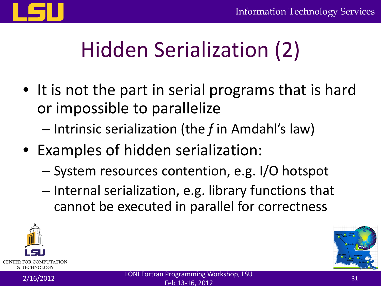

# Hidden Serialization (2)

- It is not the part in serial programs that is hard or impossible to parallelize
	- Intrinsic serialization (the *f* in Amdahl's law)
- Examples of hidden serialization:
	- System resources contention, e.g. I/O hotspot
	- Internal serialization, e.g. library functions that cannot be executed in parallel for correctness



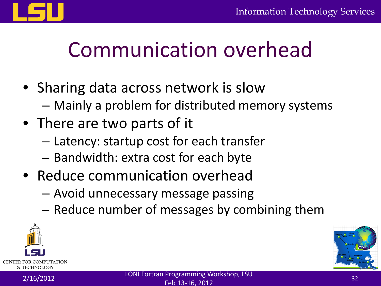

### Communication overhead

- Sharing data across network is slow
	- Mainly a problem for distributed memory systems
- There are two parts of it
	- Latency: startup cost for each transfer
	- Bandwidth: extra cost for each byte
- Reduce communication overhead
	- Avoid unnecessary message passing
	- Reduce number of messages by combining them



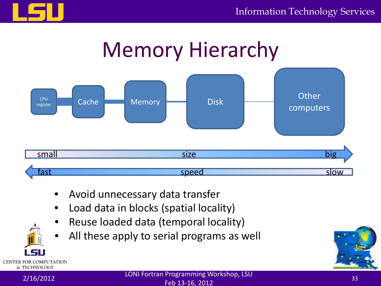





- Avoid unnecessary data transfer
- Load data in blocks (spatial locality)
- Reuse loaded data (temporal locality)
- All these apply to serial programs as well





**CENTER FOR COMPUTATION** & TECHNOLOGY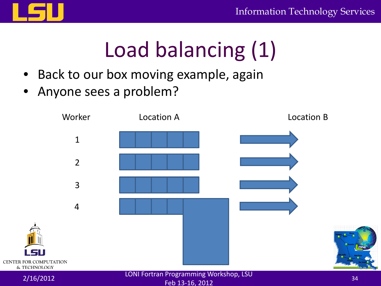

### Load balancing (1)

- Back to our box moving example, again
- Anyone sees a problem?

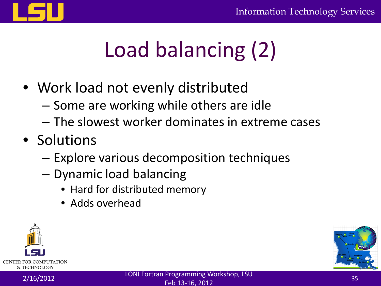

# Load balancing (2)

- Work load not evenly distributed
	- Some are working while others are idle
	- The slowest worker dominates in extreme cases
- Solutions
	- Explore various decomposition techniques
	- Dynamic load balancing
		- Hard for distributed memory
		- Adds overhead



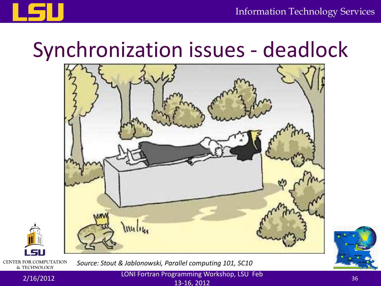

### Synchronization issues - deadlock





**CENTER FOR COMPUTATION** & TECHNOLOGY

*Source: Stout & Jablonowski, Parallel computing 101, SC10*

2/16/2012 LONI Fortran Programming Workshop, LSU Feb  $13-16, 2012$  36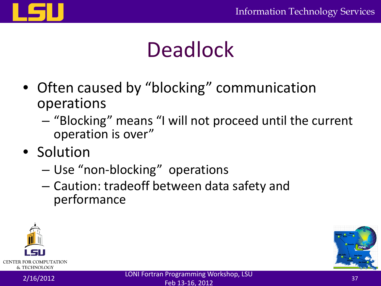

### **Deadlock**

- Often caused by "blocking" communication operations
	- "Blocking" means "I will not proceed until the current operation is over"
- Solution
	- Use "non-blocking" operations
	- Caution: tradeoff between data safety and performance



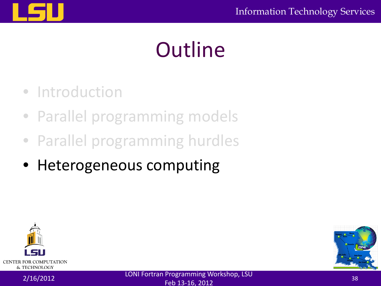# **Outline**

- Introduction
- Parallel programming models
- Parallel programming hurdles
- Heterogeneous computing



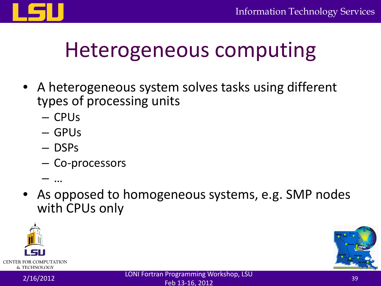

### Heterogeneous computing

- A heterogeneous system solves tasks using different types of processing units
	- CPUs
	- GPUs
	- DSPs
	- Co-processors
	- …
- As opposed to homogeneous systems, e.g. SMP nodes with CPUs only



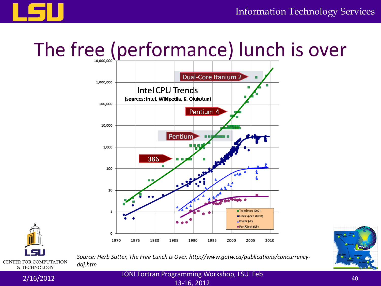



### The free (performance) lunch is over





*Source: Herb Sutter, The Free Lunch is Over, http://www.gotw.ca/publications/concurrencyddj.htm*

2/16/2012 LONI Fortran Programming Workshop, LSU Feb 13-16, 2012<br>13-16, 2012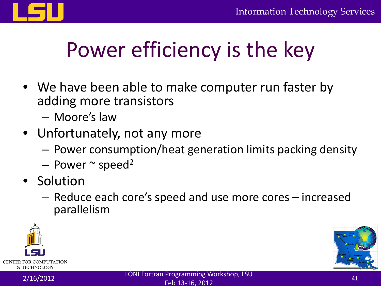

### Power efficiency is the key

- We have been able to make computer run faster by adding more transistors
	- Moore's law
- Unfortunately, not any more
	- Power consumption/heat generation limits packing density
	- Power  $\sim$  speed<sup>2</sup>
- Solution
	- Reduce each core's speed and use more cores increased parallelism



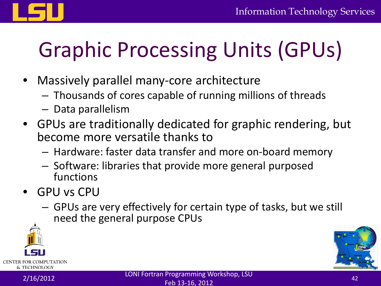

# Graphic Processing Units (GPUs)

- Massively parallel many-core architecture
	- Thousands of cores capable of running millions of threads
	- Data parallelism
- GPUs are traditionally dedicated for graphic rendering, but become more versatile thanks to
	- Hardware: faster data transfer and more on-board memory
	- Software: libraries that provide more general purposed functions
- GPU vs CPU
	- GPUs are very effectively for certain type of tasks, but we still need the general purpose CPUs



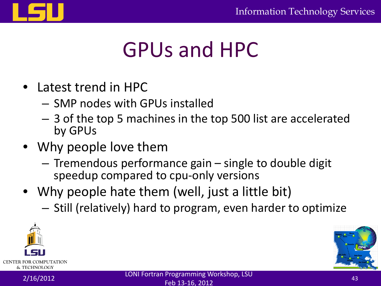

### GPUs and HPC

- Latest trend in HPC
	- SMP nodes with GPUs installed
	- 3 of the top 5 machines in the top 500 list are accelerated by GPUs
- Why people love them
	- Tremendous performance gain single to double digit speedup compared to cpu-only versions
- Why people hate them (well, just a little bit)
	- Still (relatively) hard to program, even harder to optimize



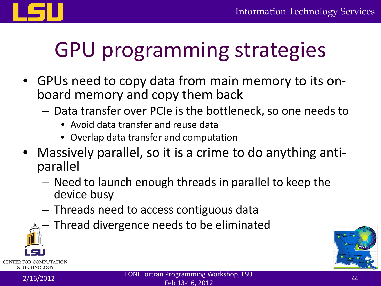

### GPU programming strategies

- GPUs need to copy data from main memory to its on- board memory and copy them back
	- Data transfer over PCIe is the bottleneck, so one needs to
		- Avoid data transfer and reuse data
		- Overlap data transfer and computation
- Massively parallel, so it is a crime to do anything anti- parallel
	- Need to launch enough threads in parallel to keep the device busy
	- Threads need to access contiguous data
	- Thread divergence needs to be eliminated



& TECHNOLOGY

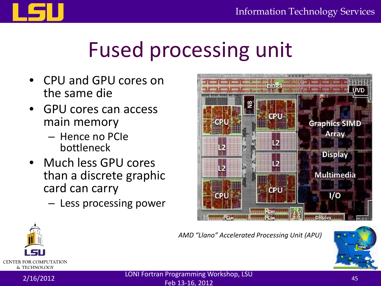

### Fused processing unit

- CPU and GPU cores on the same die
- GPU cores can access main memory
	- Hence no PCIe bottleneck
- Much less GPU cores than a discrete graphic card can carry
	- Less processing power



*AMD "Llano" Accelerated Processing Unit (APU)*





2/16/2012 LONI Fortran Programming Workshop, LSU Feb 13-16, 2012<br>Feb 13-16, 2012